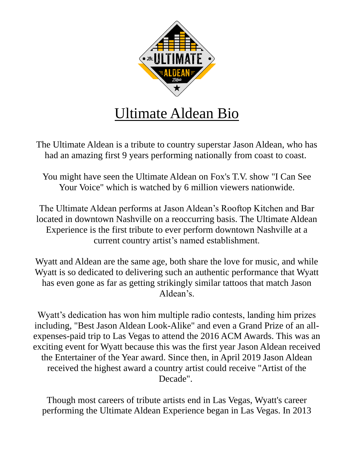

The Ultimate Aldean is a tribute to country superstar Jason Aldean, who has had an amazing first 9 years performing nationally from coast to coast.

You might have seen the Ultimate Aldean on Fox's T.V. show "I Can See Your Voice" which is watched by 6 million viewers nationwide.

The Ultimate Aldean performs at Jason Aldean's Rooftop Kitchen and Bar located in downtown Nashville on a reoccurring basis. The Ultimate Aldean Experience is the first tribute to ever perform downtown Nashville at a current country artist's named establishment.

Wyatt and Aldean are the same age, both share the love for music, and while Wyatt is so dedicated to delivering such an authentic performance that Wyatt has even gone as far as getting strikingly similar tattoos that match Jason Aldean's.

Wyatt's dedication has won him multiple radio contests, landing him prizes including, "Best Jason Aldean Look-Alike" and even a Grand Prize of an allexpenses-paid trip to Las Vegas to attend the 2016 ACM Awards. This was an exciting event for Wyatt because this was the first year Jason Aldean received the Entertainer of the Year award. Since then, in April 2019 Jason Aldean received the highest award a country artist could receive "Artist of the Decade".

Though most careers of tribute artists end in Las Vegas, Wyatt's career performing the Ultimate Aldean Experience began in Las Vegas. In 2013